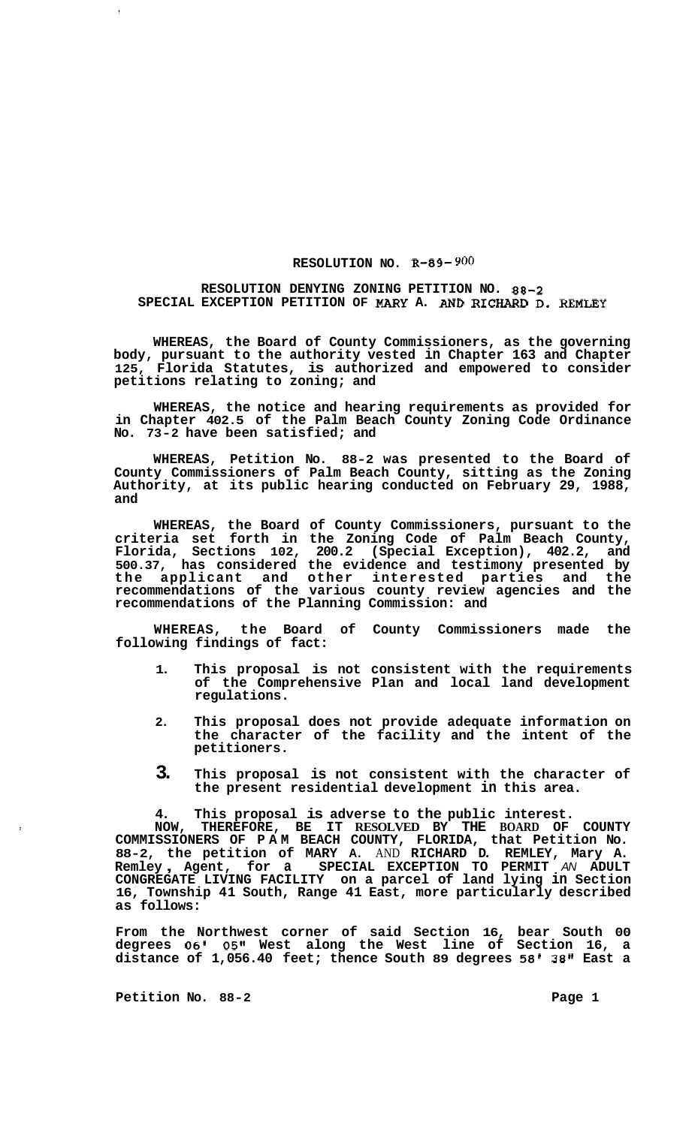## **RESOLUTION NO. R-89-** *900*

## **RESOLUTION DENYING ZONING PETITION NO. 88-2 SPECIAL EXCEPTION PETITION OF MARY A.** AND **RICHARD D. REMLEY**

**WHEREAS, the Board of County Commissioners, as the governing body, pursuant to the authority vested in Chapter 163 and Chapter 125, Florida Statutes, is authorized and empowered to consider petitions relating to zoning; and** 

**WHEREAS, the notice and hearing requirements as provided for in Chapter 402.5 of the Palm Beach County Zoning Code Ordinance No. 73-2 have been satisfied; and** 

**WHEREAS, Petition No. 88-2 was presented to the Board of County Commissioners of Palm Beach County, sitting as the Zoning Authority, at its public hearing conducted on February 29, 1988, and** 

**WHEREAS, the Board of County Commissioners, pursuant to the criteria set forth in the Zoning Code of Palm Beach County, Florida, Sections 102, 200.2 (Special Exception), 402.2, and 500.37, has considered the evidence and testimony presented by the applicant and other interested parties and the recommendations of the various county review agencies and the recommendations of the Planning Commission: and** 

**WHEREAS, the Board of County Commissioners made the following findings of fact:** 

- **1. This proposal is not consistent with the requirements of the Comprehensive Plan and local land development regulations.**
- **2. This proposal does not provide adequate information on the character of the facility and the intent of the petitioners.**
- **3. This proposal is not consistent with the character of the present residential development in this area.**

**4. This proposal is adverse to the public interest.** 

**NOW, THEREFORE, BE IT RESOLVED BY THE BOARD OF COUNTY COMMISSIONERS OF PAM BEACH COUNTY, FLORIDA, that Petition No. 88-2, the petition of MARY A.** AND **RICHARD D. REMLEY, Mary A. Remley** , **Agent, for a SPECIAL EXCEPTION TO PERMIT** *AN* **ADULT CONGREGATE LIVING FACILITY on a parcel of land lying in Section 16, Township 41 South, Range 41 East, more particularly described as follows:** 

**From the Northwest corner of said Section 16, bear South 00 degrees** *06'* **05" West along the West line of Section 16, a distance of 1,056.40 feet; thence South 89 degrees 58' 38" East a** 

Petition No. 88-2 **Page 1 Page 1** 

 $\ddot{\phantom{a}}$